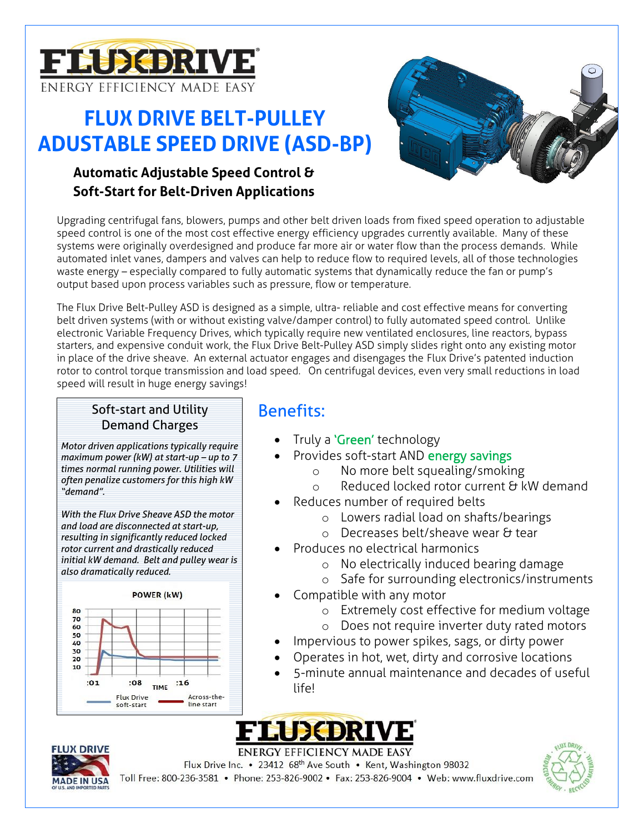

# **FLUX DRIVE BELT-PULLEY ADUSTABLE SPEED DRIVE (ASD-BP)**

## **Automatic Adjustable Speed Control & Soft-Start for Belt-Driven Applications**



Upgrading centrifugal fans, blowers, pumps and other belt driven loads from fixed speed operation to adjustable speed control is one of the most cost effective energy efficiency upgrades currently available. Many of these systems were originally overdesigned and produce far more air or water flow than the process demands. While automated inlet vanes, dampers and valves can help to reduce flow to required levels, all of those technologies waste energy – especially compared to fully automatic systems that dynamically reduce the fan or pump's output based upon process variables such as pressure, flow or temperature.

The Flux Drive Belt-Pulley ASD is designed as a simple, ultra- reliable and cost effective means for converting belt driven systems (with or without existing valve/damper control) to fully automated speed control. Unlike electronic Variable Frequency Drives, which typically require new ventilated enclosures, line reactors, bypass starters, and expensive conduit work, the Flux Drive Belt-Pulley ASD simply slides right onto any existing motor in place of the drive sheave. An external actuator engages and disengages the Flux Drive's patented induction rotor to control torque transmission and load speed. On centrifugal devices, even very small reductions in load speed will result in huge energy savings!

### Soft-start and Utility **Benefits:** Demand Charges

*Motor driven applications typically require maximum power (kW) at start-up – up to 7 times normal running power. Utilities will often penalize customers for this high kW "demand".* 

*With the Flux Drive Sheave ASD the motor and load are disconnected at start-up, resulting in significantly reduced locked rotor current and drastically reduced initial kW demand. Belt and pulley wear is also dramatically reduced.*



- Truly a 'Green' technology
- Provides soft-start AND energy savings
	- o No more belt squealing/smoking
	- o Reduced locked rotor current & kW demand
- Reduces number of required belts
	- o Lowers radial load on shafts/bearings
	- o Decreases belt/sheave wear & tear
- Produces no electrical harmonics
	- o No electrically induced bearing damage
	- o Safe for surrounding electronics/instruments
- Compatible with any motor
	- o Extremely cost effective for medium voltage
	- o Does not require inverter duty rated motors
- Impervious to power spikes, sags, or dirty power
- Operates in hot, wet, dirty and corrosive locations
- 5-minute annual maintenance and decades of useful life!





**ENERGY EFFICIENCY MADE EASY** Flux Drive Inc. • 23412 68<sup>th</sup> Ave South • Kent, Washington 98032

Toll Free: 800-236-3581 · Phone: 253-826-9002 · Fax: 253-826-9004 · Web: www.fluxdrive.com